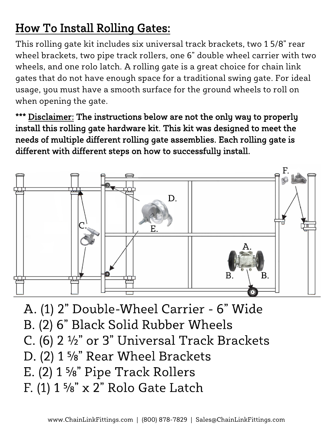## How To Install Rolling Gates:

This rolling gate kit includes six universal track brackets, two 1 5/8" rear wheel brackets, two pipe track rollers, one 6" double wheel carrier with two wheels, and one rolo latch. A rolling gate is a great choice for chain link gates that do not have enough space for a traditional swing gate. For ideal usage, you must have a smooth surface for the ground wheels to roll on when opening the gate.

Disclaimer: The instructions below are not the only way to properly install this rolling gate hardware kit. This kit was designed to meet the needs of multiple different rolling gate assemblies. Each rolling gate is different with different steps on how to successfully install.



A. (1) 2" Double-Wheel Carrier - 6" Wide B. (2) 6" Black Solid Rubber Wheels C. (6) 2 1/2" or 3" Universal Track Brackets D. (2) 1 %" Rear Wheel Brackets E.  $(2)$  1 %" Pipe Track Rollers F.  $(1)$  1 %" x 2" Rolo Gate Latch